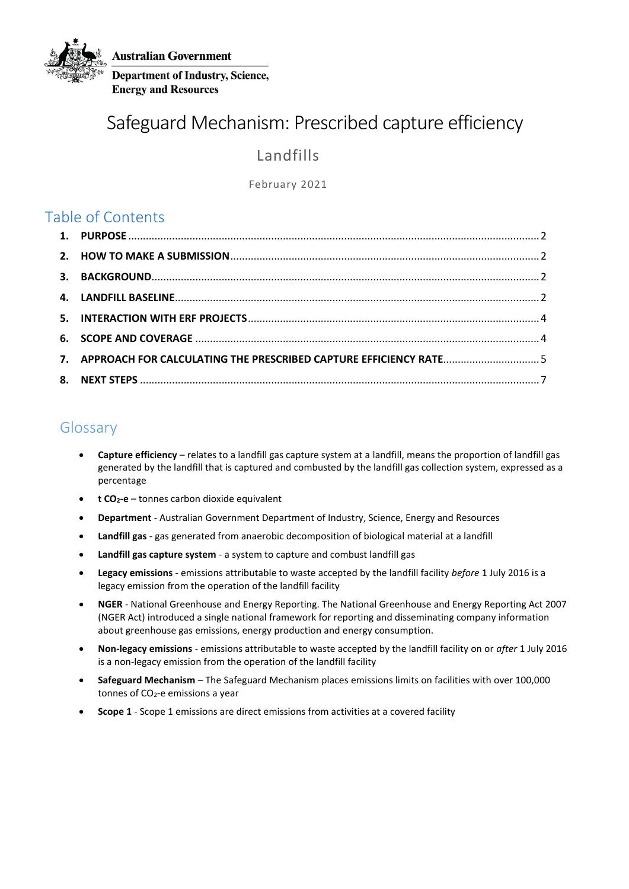

**Australian Government** 

**Department of Industry, Science, Energy and Resources** 

# Safeguard Mechanism: Prescribed capture efficiency

## Landfills

February 2021

## Table of Contents

| 7. APPROACH FOR CALCULATING THE PRESCRIBED CAPTURE EFFICIENCY RATE5 |  |
|---------------------------------------------------------------------|--|
|                                                                     |  |

## Glossary

- **Capture efficiency**  relates to a landfill gas capture system at a landfill, means the proportion of landfill gas generated by the landfill that is captured and combusted by the landfill gas collection system, expressed as a percentage
- **t CO2-e** tonnes carbon dioxide equivalent
- **Department** Australian Government Department of Industry, Science, Energy and Resources
- **Landfill gas** gas generated from anaerobic decomposition of biological material at a landfill
- **Landfill gas capture system**  a system to capture and combust landfill gas
- **Legacy emissions** emissions attributable to waste accepted by the landfill facility *before* 1 July 2016 is a legacy emission from the operation of the landfill facility
- **NGER** National Greenhouse and Energy Reporting. The National Greenhouse and Energy Reporting Act 2007 (NGER Act) introduced a single national framework for reporting and disseminating company information about greenhouse gas emissions, energy production and energy consumption.
- **Non-legacy emissions** emissions attributable to waste accepted by the landfill facility on or *after* 1 July 2016 is a non-legacy emission from the operation of the landfill facility
- **Safeguard Mechanism** The Safeguard Mechanism places emissions limits on facilities with over 100,000 tonnes of CO2-e emissions a year
- **Scope 1** Scope 1 emissions are direct emissions from activities at a covered facility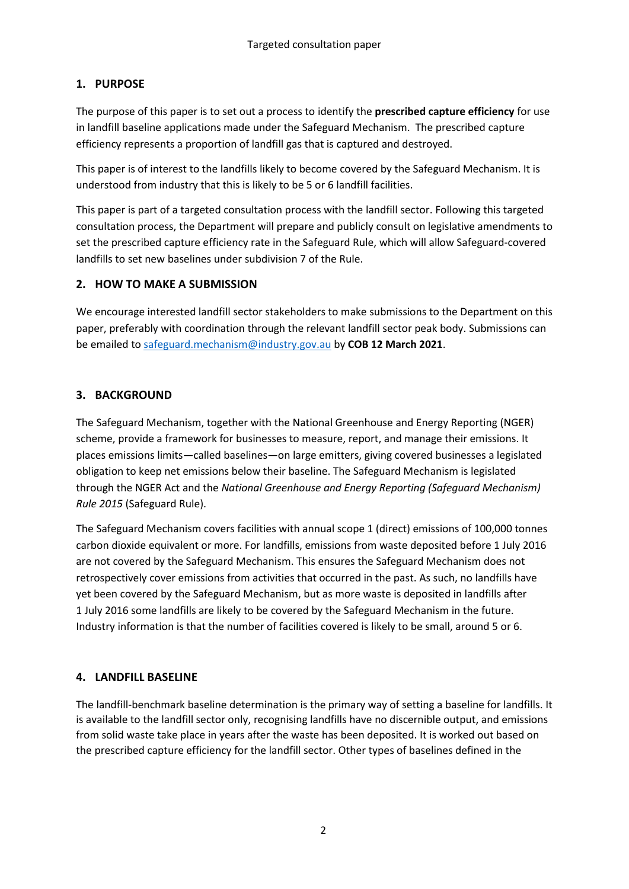## <span id="page-1-0"></span>**1. PURPOSE**

The purpose of this paper is to set out a process to identify the **prescribed capture efficiency** for use in landfill baseline applications made under the Safeguard Mechanism. The prescribed capture efficiency represents a proportion of landfill gas that is captured and destroyed.

This paper is of interest to the landfills likely to become covered by the Safeguard Mechanism. It is understood from industry that this is likely to be 5 or 6 landfill facilities.

This paper is part of a targeted consultation process with the landfill sector. Following this targeted consultation process, the Department will prepare and publicly consult on legislative amendments to set the prescribed capture efficiency rate in the Safeguard Rule, which will allow Safeguard-covered landfills to set new baselines under subdivision 7 of the Rule.

### <span id="page-1-1"></span>**2. HOW TO MAKE A SUBMISSION**

We encourage interested landfill sector stakeholders to make submissions to the Department on this paper, preferably with coordination through the relevant landfill sector peak body. Submissions can be emailed to [safeguard.mechanism@industry.gov.au](mailto:safeguard.mechanism@industry.gov.au) by **COB 12 March 2021**.

## <span id="page-1-2"></span>**3. BACKGROUND**

The Safeguard Mechanism, together with the National Greenhouse and Energy Reporting (NGER) scheme, provide a framework for businesses to measure, report, and manage their emissions. It places emissions limits—called baselines—on large emitters, giving covered businesses a legislated obligation to keep net emissions below their baseline. The Safeguard Mechanism is legislated through the NGER Act and the *National Greenhouse and Energy Reporting (Safeguard Mechanism) Rule 2015* (Safeguard Rule).

The Safeguard Mechanism covers facilities with annual scope 1 (direct) emissions of 100,000 tonnes carbon dioxide equivalent or more. For landfills, emissions from waste deposited before 1 July 2016 are not covered by the Safeguard Mechanism. This ensures the Safeguard Mechanism does not retrospectively cover emissions from activities that occurred in the past. As such, no landfills have yet been covered by the Safeguard Mechanism, but as more waste is deposited in landfills after 1 July 2016 some landfills are likely to be covered by the Safeguard Mechanism in the future. Industry information is that the number of facilities covered is likely to be small, around 5 or 6.

## <span id="page-1-3"></span>**4. LANDFILL BASELINE**

The landfill-benchmark baseline determination is the primary way of setting a baseline for landfills. It is available to the landfill sector only, recognising landfills have no discernible output, and emissions from solid waste take place in years after the waste has been deposited. It is worked out based on the prescribed capture efficiency for the landfill sector. Other types of baselines defined in the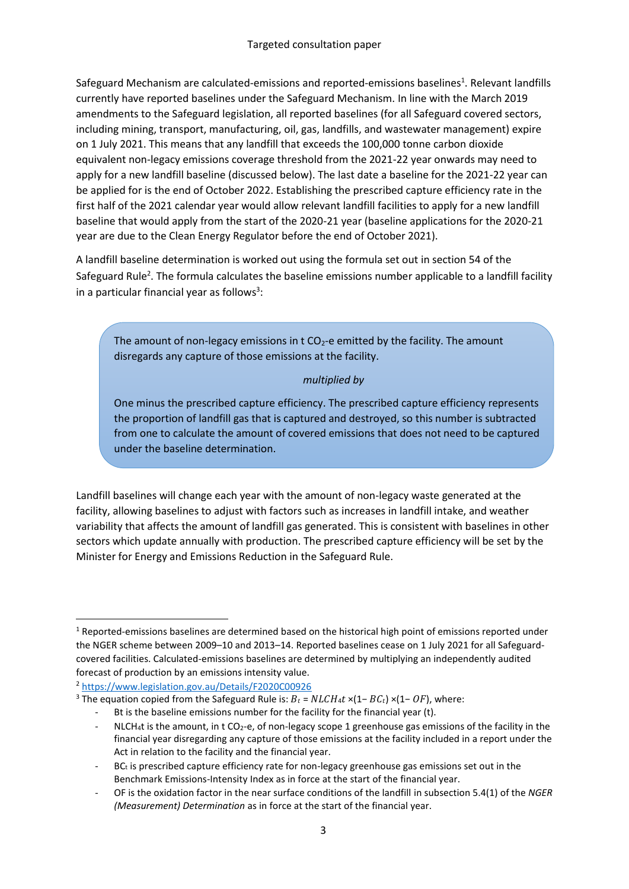Safeguard Mechanism are calculated-emissions and reported-emissions baselines<sup>1</sup>. Relevant landfills currently have reported baselines under the Safeguard Mechanism. In line with the March 2019 amendments to the Safeguard legislation, all reported baselines (for all Safeguard covered sectors, including mining, transport, manufacturing, oil, gas, landfills, and wastewater management) expire on 1 July 2021. This means that any landfill that exceeds the 100,000 tonne carbon dioxide equivalent non-legacy emissions coverage threshold from the 2021-22 year onwards may need to apply for a new landfill baseline (discussed below). The last date a baseline for the 2021-22 year can be applied for is the end of October 2022. Establishing the prescribed capture efficiency rate in the first half of the 2021 calendar year would allow relevant landfill facilities to apply for a new landfill baseline that would apply from the start of the 2020-21 year (baseline applications for the 2020-21 year are due to the Clean Energy Regulator before the end of October 2021).

A landfill baseline determination is worked out using the formula set out in section 54 of the Safeguard Rule<sup>2</sup>. The formula calculates the baseline emissions number applicable to a landfill facility in a particular financial year as follows<sup>3</sup>:

The amount of non-legacy emissions in  $t$  CO<sub>2</sub>-e emitted by the facility. The amount disregards any capture of those emissions at the facility.

#### *multiplied by*

One minus the prescribed capture efficiency. The prescribed capture efficiency represents the proportion of landfill gas that is captured and destroyed, so this number is subtracted from one to calculate the amount of covered emissions that does not need to be captured under the baseline determination.

Landfill baselines will change each year with the amount of non-legacy waste generated at the facility, allowing baselines to adjust with factors such as increases in landfill intake, and weather variability that affects the amount of landfill gas generated. This is consistent with baselines in other sectors which update annually with production. The prescribed capture efficiency will be set by the Minister for Energy and Emissions Reduction in the Safeguard Rule.

**.** 

 $1$  Reported-emissions baselines are determined based on the historical high point of emissions reported under the NGER scheme between 2009–10 and 2013–14. Reported baselines cease on 1 July 2021 for all Safeguardcovered facilities. Calculated-emissions baselines are determined by multiplying an independently audited forecast of production by an emissions intensity value.

<sup>2</sup> <https://www.legislation.gov.au/Details/F2020C00926>

<sup>&</sup>lt;sup>3</sup> The equation copied from the Safeguard Rule is:  $B_t = NLCH_4t \times (1 - BC_t) \times (1 - OF)$ , where:

Bt is the baseline emissions number for the facility for the financial year (t).

NLCH<sub>4</sub>t is the amount, in t CO<sub>2</sub>-e, of non-legacy scope 1 greenhouse gas emissions of the facility in the financial year disregarding any capture of those emissions at the facility included in a report under the Act in relation to the facility and the financial year.

<sup>-</sup> BC<sup>t</sup> is prescribed capture efficiency rate for non-legacy greenhouse gas emissions set out in the Benchmark Emissions-Intensity Index as in force at the start of the financial year.

<sup>-</sup> OF is the oxidation factor in the near surface conditions of the landfill in subsection 5.4(1) of the *NGER (Measurement) Determination* as in force at the start of the financial year.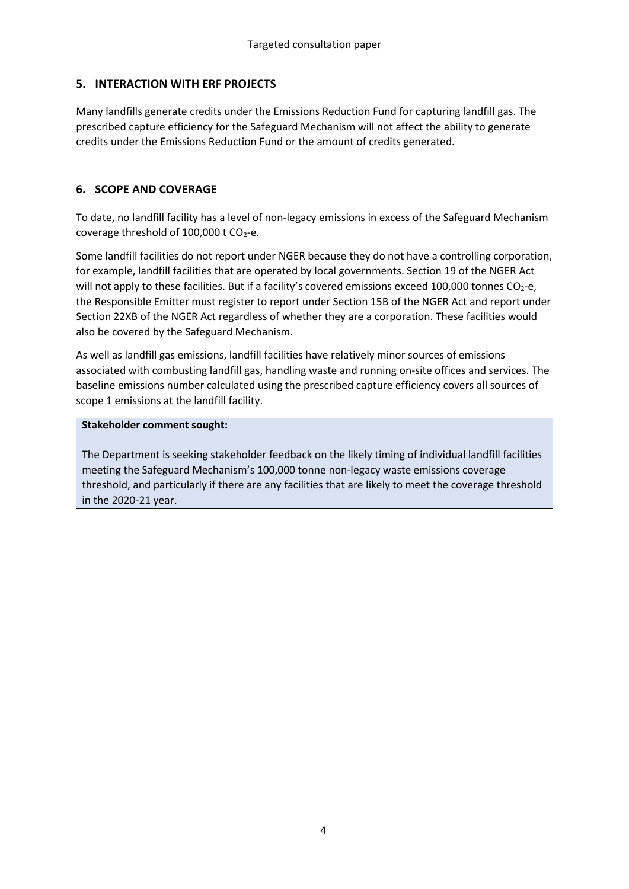#### <span id="page-3-0"></span>**5. INTERACTION WITH ERF PROJECTS**

Many landfills generate credits under the Emissions Reduction Fund for capturing landfill gas. The prescribed capture efficiency for the Safeguard Mechanism will not affect the ability to generate credits under the Emissions Reduction Fund or the amount of credits generated.

#### <span id="page-3-1"></span>**6. SCOPE AND COVERAGE**

To date, no landfill facility has a level of non-legacy emissions in excess of the Safeguard Mechanism coverage threshold of 100,000 t  $CO<sub>2</sub>$ -e.

Some landfill facilities do not report under NGER because they do not have a controlling corporation, for example, landfill facilities that are operated by local governments. Section 19 of the NGER Act will not apply to these facilities. But if a facility's covered emissions exceed 100,000 tonnes  $CO<sub>2</sub>$ -e, the Responsible Emitter must register to report under Section 15B of the NGER Act and report under Section 22XB of the NGER Act regardless of whether they are a corporation. These facilities would also be covered by the Safeguard Mechanism.

As well as landfill gas emissions, landfill facilities have relatively minor sources of emissions associated with combusting landfill gas, handling waste and running on-site offices and services. The baseline emissions number calculated using the prescribed capture efficiency covers all sources of scope 1 emissions at the landfill facility.

#### **Stakeholder comment sought:**

The Department is seeking stakeholder feedback on the likely timing of individual landfill facilities meeting the Safeguard Mechanism's 100,000 tonne non-legacy waste emissions coverage threshold, and particularly if there are any facilities that are likely to meet the coverage threshold in the 2020-21 year.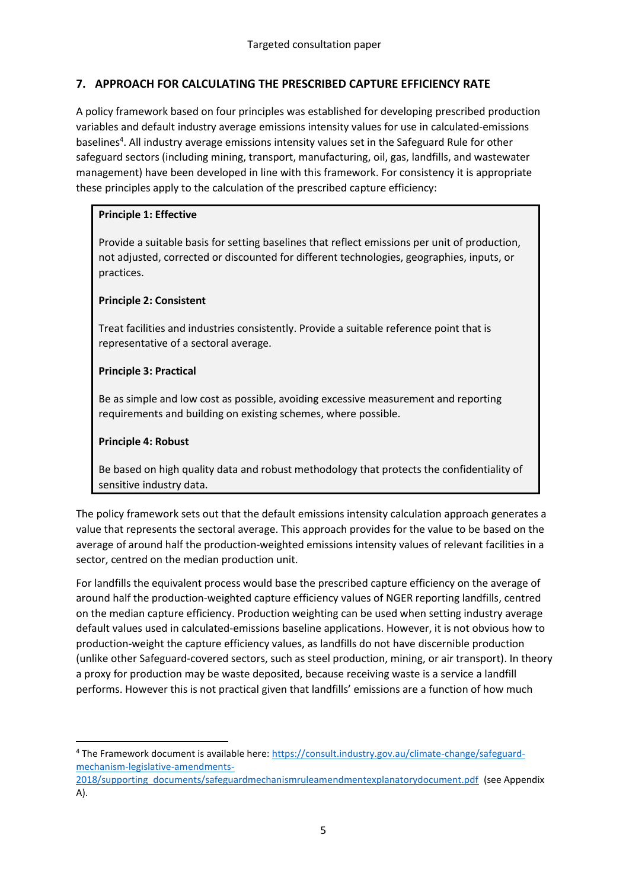## <span id="page-4-0"></span>**7. APPROACH FOR CALCULATING THE PRESCRIBED CAPTURE EFFICIENCY RATE**

A policy framework based on four principles was established for developing prescribed production variables and default industry average emissions intensity values for use in calculated-emissions baselines<sup>4</sup>. All industry average emissions intensity values set in the Safeguard Rule for other safeguard sectors (including mining, transport, manufacturing, oil, gas, landfills, and wastewater management) have been developed in line with this framework. For consistency it is appropriate these principles apply to the calculation of the prescribed capture efficiency:

### **Principle 1: Effective**

Provide a suitable basis for setting baselines that reflect emissions per unit of production, not adjusted, corrected or discounted for different technologies, geographies, inputs, or practices.

#### **Principle 2: Consistent**

Treat facilities and industries consistently. Provide a suitable reference point that is representative of a sectoral average.

#### **Principle 3: Practical**

Be as simple and low cost as possible, avoiding excessive measurement and reporting requirements and building on existing schemes, where possible.

#### **Principle 4: Robust**

1

Be based on high quality data and robust methodology that protects the confidentiality of sensitive industry data.

The policy framework sets out that the default emissions intensity calculation approach generates a value that represents the sectoral average. This approach provides for the value to be based on the average of around half the production-weighted emissions intensity values of relevant facilities in a sector, centred on the median production unit.

For landfills the equivalent process would base the prescribed capture efficiency on the average of around half the production-weighted capture efficiency values of NGER reporting landfills, centred on the median capture efficiency. Production weighting can be used when setting industry average default values used in calculated-emissions baseline applications. However, it is not obvious how to production-weight the capture efficiency values, as landfills do not have discernible production (unlike other Safeguard-covered sectors, such as steel production, mining, or air transport). In theory a proxy for production may be waste deposited, because receiving waste is a service a landfill performs. However this is not practical given that landfills' emissions are a function of how much

<sup>&</sup>lt;sup>4</sup> The Framework document is available here[: https://consult.industry.gov.au/climate-change/safeguard](https://consult.industry.gov.au/climate-change/safeguard-mechanism-legislative-amendments-2018/supporting_documents/safeguardmechanismruleamendmentexplanatorydocument.pdf)[mechanism-legislative-amendments-](https://consult.industry.gov.au/climate-change/safeguard-mechanism-legislative-amendments-2018/supporting_documents/safeguardmechanismruleamendmentexplanatorydocument.pdf)

[<sup>2018/</sup>supporting\\_documents/safeguardmechanismruleamendmentexplanatorydocument.pdf](https://consult.industry.gov.au/climate-change/safeguard-mechanism-legislative-amendments-2018/supporting_documents/safeguardmechanismruleamendmentexplanatorydocument.pdf) (see Appendix A).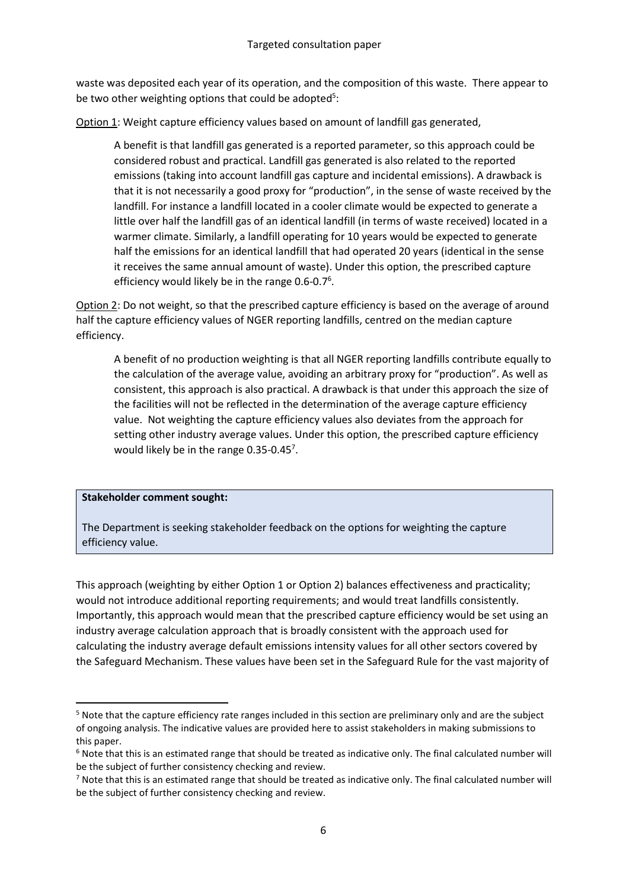waste was deposited each year of its operation, and the composition of this waste. There appear to be two other weighting options that could be adopted<sup>5</sup>:

Option 1: Weight capture efficiency values based on amount of landfill gas generated,

A benefit is that landfill gas generated is a reported parameter, so this approach could be considered robust and practical. Landfill gas generated is also related to the reported emissions (taking into account landfill gas capture and incidental emissions). A drawback is that it is not necessarily a good proxy for "production", in the sense of waste received by the landfill. For instance a landfill located in a cooler climate would be expected to generate a little over half the landfill gas of an identical landfill (in terms of waste received) located in a warmer climate. Similarly, a landfill operating for 10 years would be expected to generate half the emissions for an identical landfill that had operated 20 years (identical in the sense it receives the same annual amount of waste). Under this option, the prescribed capture efficiency would likely be in the range  $0.6$ -0.7 $6$ .

Option 2: Do not weight, so that the prescribed capture efficiency is based on the average of around half the capture efficiency values of NGER reporting landfills, centred on the median capture efficiency.

A benefit of no production weighting is that all NGER reporting landfills contribute equally to the calculation of the average value, avoiding an arbitrary proxy for "production". As well as consistent, this approach is also practical. A drawback is that under this approach the size of the facilities will not be reflected in the determination of the average capture efficiency value. Not weighting the capture efficiency values also deviates from the approach for setting other industry average values. Under this option, the prescribed capture efficiency would likely be in the range 0.35-0.45<sup>7</sup>.

#### **Stakeholder comment sought:**

**.** 

The Department is seeking stakeholder feedback on the options for weighting the capture efficiency value.

This approach (weighting by either Option 1 or Option 2) balances effectiveness and practicality; would not introduce additional reporting requirements; and would treat landfills consistently. Importantly, this approach would mean that the prescribed capture efficiency would be set using an industry average calculation approach that is broadly consistent with the approach used for calculating the industry average default emissions intensity values for all other sectors covered by the Safeguard Mechanism. These values have been set in the Safeguard Rule for the vast majority of

<sup>&</sup>lt;sup>5</sup> Note that the capture efficiency rate ranges included in this section are preliminary only and are the subject of ongoing analysis. The indicative values are provided here to assist stakeholders in making submissions to this paper.

<sup>6</sup> Note that this is an estimated range that should be treated as indicative only. The final calculated number will be the subject of further consistency checking and review.

 $<sup>7</sup>$  Note that this is an estimated range that should be treated as indicative only. The final calculated number will</sup> be the subject of further consistency checking and review.